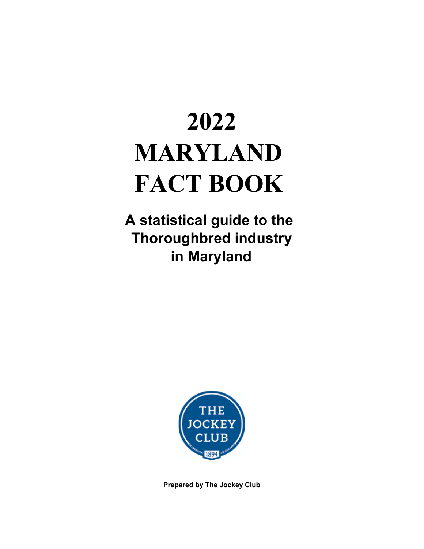# **2022 MARYLAND FACT BOOK**

**A statistical guide to the Thoroughbred industry in Maryland**



**Prepared by The Jockey Club**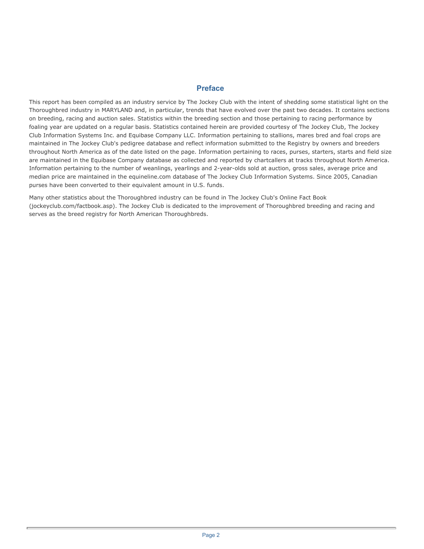#### **Preface**

This report has been compiled as an industry service by The Jockey Club with the intent of shedding some statistical light on the Thoroughbred industry in MARYLAND and, in particular, trends that have evolved over the past two decades. It contains sections on breeding, racing and auction sales. Statistics within the breeding section and those pertaining to racing performance by foaling year are updated on a regular basis. Statistics contained herein are provided courtesy of The Jockey Club, The Jockey Club Information Systems Inc. and Equibase Company LLC. Information pertaining to stallions, mares bred and foal crops are maintained in The Jockey Club's pedigree database and reflect information submitted to the Registry by owners and breeders throughout North America as of the date listed on the page. Information pertaining to races, purses, starters, starts and field size are maintained in the Equibase Company database as collected and reported by chartcallers at tracks throughout North America. Information pertaining to the number of weanlings, yearlings and 2-year-olds sold at auction, gross sales, average price and median price are maintained in the equineline.com database of The Jockey Club Information Systems. Since 2005, Canadian purses have been converted to their equivalent amount in U.S. funds.

Many other statistics about the Thoroughbred industry can be found in The Jockey Club's Online Fact Book (jockeyclub.com/factbook.asp). The Jockey Club is dedicated to the improvement of Thoroughbred breeding and racing and serves as the breed registry for North American Thoroughbreds.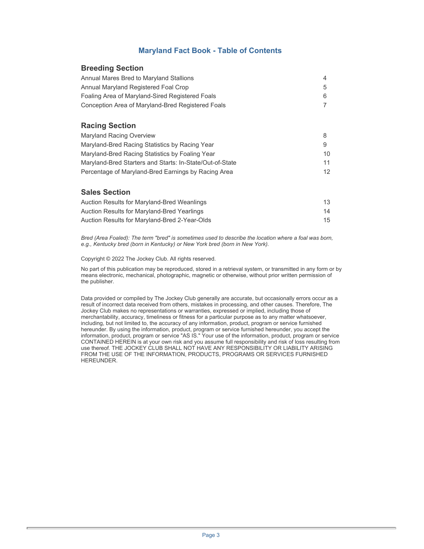### **Maryland Fact Book - Table of Contents**

#### **Breeding Section**

| Annual Mares Bred to Maryland Stallions           |  |
|---------------------------------------------------|--|
| Annual Maryland Registered Foal Crop              |  |
| Foaling Area of Maryland-Sired Registered Foals   |  |
| Conception Area of Maryland-Bred Registered Foals |  |

#### **Racing Section**

| <b>Maryland Racing Overview</b>                          |                 |
|----------------------------------------------------------|-----------------|
| Maryland-Bred Racing Statistics by Racing Year           | 9               |
| Maryland-Bred Racing Statistics by Foaling Year          | 10.             |
| Maryland-Bred Starters and Starts: In-State/Out-of-State | 11              |
| Percentage of Maryland-Bred Earnings by Racing Area      | 12 <sub>1</sub> |

#### **Sales Section**

| Auction Results for Maryland-Bred Weanlings   | 13 |
|-----------------------------------------------|----|
| Auction Results for Maryland-Bred Yearlings   | 14 |
| Auction Results for Maryland-Bred 2-Year-Olds | 15 |

*Bred (Area Foaled): The term "bred" is sometimes used to describe the location where a foal was born, e.g., Kentucky bred (born in Kentucky) or New York bred (born in New York).* 

Copyright © 2022 The Jockey Club. All rights reserved.

No part of this publication may be reproduced, stored in a retrieval system, or transmitted in any form or by means electronic, mechanical, photographic, magnetic or otherwise, without prior written permission of the publisher.

Data provided or compiled by The Jockey Club generally are accurate, but occasionally errors occur as a result of incorrect data received from others, mistakes in processing, and other causes. Therefore, The Jockey Club makes no representations or warranties, expressed or implied, including those of merchantability, accuracy, timeliness or fitness for a particular purpose as to any matter whatsoever, including, but not limited to, the accuracy of any information, product, program or service furnished hereunder. By using the information, product, program or service furnished hereunder, you accept the information, product, program or service "AS IS." Your use of the information, product, program or service CONTAINED HEREIN is at your own risk and you assume full responsibility and risk of loss resulting from use thereof. THE JOCKEY CLUB SHALL NOT HAVE ANY RESPONSIBILITY OR LIABILITY ARISING FROM THE USE OF THE INFORMATION, PRODUCTS, PROGRAMS OR SERVICES FURNISHED HEREUNDER.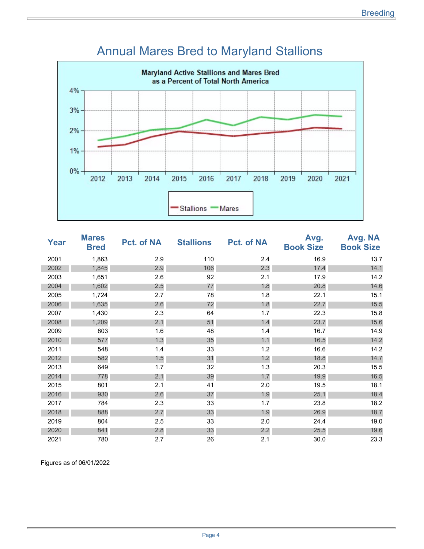

### Annual Mares Bred to Maryland Stallions

| <b>Year</b> | <b>Mares</b><br><b>Bred</b> | Pct. of NA | <b>Stallions</b> | <b>Pct. of NA</b> | Avg.<br><b>Book Size</b> | Avg. NA<br><b>Book Size</b> |
|-------------|-----------------------------|------------|------------------|-------------------|--------------------------|-----------------------------|
| 2001        | 1,863                       | 2.9        | 110              | 2.4               | 16.9                     | 13.7                        |
| 2002        | 1,845                       | 2.9        | 106              | 2.3               | 17.4                     | 14.1                        |
| 2003        | 1,651                       | 2.6        | 92               | 2.1               | 17.9                     | 14.2                        |
| 2004        | 1,602                       | 2.5        | 77               | 1.8               | 20.8                     | 14.6                        |
| 2005        | 1,724                       | 2.7        | 78               | 1.8               | 22.1                     | 15.1                        |
| 2006        | 1,635                       | 2.6        | 72               | 1.8               | 22.7                     | 15.5                        |
| 2007        | 1,430                       | 2.3        | 64               | 1.7               | 22.3                     | 15.8                        |
| 2008        | 1,209                       | 2.1        | 51               | 1.4               | 23.7                     | 15.6                        |
| 2009        | 803                         | 1.6        | 48               | 1.4               | 16.7                     | 14.9                        |
| 2010        | 577                         | 1.3        | 35               | 1.1               | 16.5                     | 14.2                        |
| 2011        | 548                         | 1.4        | 33               | 1.2               | 16.6                     | 14.2                        |
| 2012        | 582                         | 1.5        | 31               | 1.2               | 18.8                     | 14.7                        |
| 2013        | 649                         | 1.7        | 32               | 1.3               | 20.3                     | 15.5                        |
| 2014        | 778                         | 2.1        | 39               | 1.7               | 19.9                     | 16.5                        |
| 2015        | 801                         | 2.1        | 41               | 2.0               | 19.5                     | 18.1                        |
| 2016        | 930                         | 2.6        | 37               | 1.9               | 25.1                     | 18.4                        |
| 2017        | 784                         | 2.3        | 33               | 1.7               | 23.8                     | 18.2                        |
| 2018        | 888                         | 2.7        | 33               | 1.9               | 26.9                     | 18.7                        |
| 2019        | 804                         | 2.5        | 33               | 2.0               | 24.4                     | 19.0                        |
| 2020        | 841                         | 2.8        | 33               | 2.2               | 25.5                     | 19.6                        |
| 2021        | 780                         | 2.7        | 26               | 2.1               | 30.0                     | 23.3                        |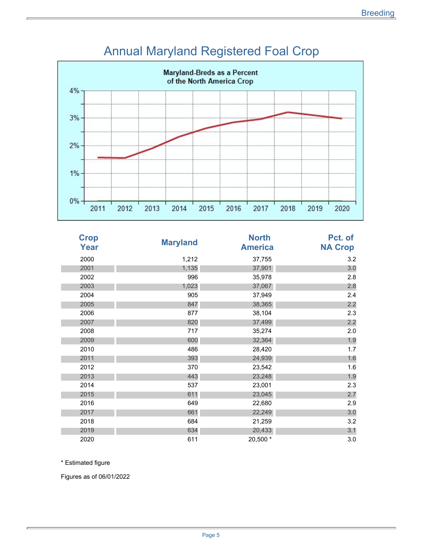

### Annual Maryland Registered Foal Crop

| <b>Crop</b><br>Year | <b>Maryland</b> | <b>North</b><br><b>America</b> | Pct. of<br><b>NA Crop</b> |
|---------------------|-----------------|--------------------------------|---------------------------|
| 2000                | 1,212           | 37,755                         | 3.2                       |
| 2001                | 1,135           | 37,901                         | 3.0                       |
| 2002                | 996             | 35,978                         | 2.8                       |
| 2003                | 1,023           | 37,067                         | 2.8                       |
| 2004                | 905             | 37,949                         | 2.4                       |
| 2005                | 847             | 38,365                         | 2.2                       |
| 2006                | 877             | 38,104                         | 2.3                       |
| 2007                | 820             | 37,499                         | 2.2                       |
| 2008                | 717             | 35,274                         | 2.0                       |
| 2009                | 600             | 32,364                         | 1.9                       |
| 2010                | 486             | 28,420                         | 1.7                       |
| 2011                | 393             | 24,939                         | 1.6                       |
| 2012                | 370             | 23,542                         | 1.6                       |
| 2013                | 443             | 23,248                         | 1.9                       |
| 2014                | 537             | 23,001                         | 2.3                       |
| 2015                | 611             | 23,045                         | 2.7                       |
| 2016                | 649             | 22,680                         | 2.9                       |
| 2017                | 661             | 22,249                         | 3.0                       |
| 2018                | 684             | 21,259                         | 3.2                       |
| 2019                | 634             | 20,433                         | 3.1                       |
| 2020                | 611             | 20,500 *                       | 3.0                       |

\* Estimated figure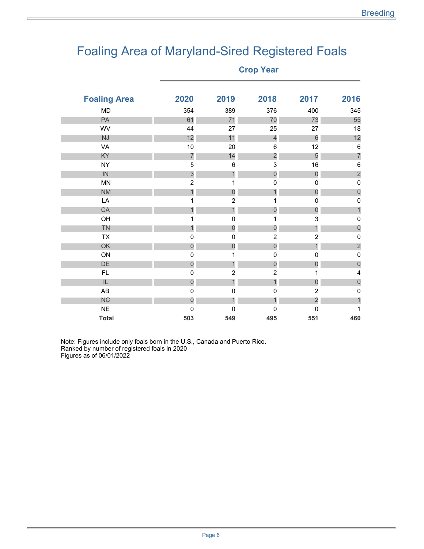# Foaling Area of Maryland-Sired Registered Foals

| <b>Foaling Area</b> | 2020           | 2019             | 2018           | 2017             | 2016                    |
|---------------------|----------------|------------------|----------------|------------------|-------------------------|
|                     |                |                  |                |                  |                         |
| MD                  | 354            | 389              | 376            | 400              | 345                     |
| PA                  | 61             | 71               | 70             | 73               | 55                      |
| WV                  | 44             | 27               | 25             | 27               | 18                      |
| <b>NJ</b>           | 12             | 11               | $\overline{4}$ | 6                | 12                      |
| VA                  | $10$           | 20               | 6              | 12               | $\,6\,$                 |
| ΚY                  | $\overline{7}$ | 14               | $\overline{2}$ | 5                | $\overline{7}$          |
| <b>NY</b>           | 5              | 6                | 3              | 16               | $\,6$                   |
| IN                  | 3              | $\mathbf{1}$     | 0              | $\overline{0}$   | $\overline{\mathbf{c}}$ |
| <b>MN</b>           | $\overline{2}$ | 1                | $\mathbf 0$    | 0                | $\pmb{0}$               |
| <b>NM</b>           | 1              | $\mathbf 0$      |                | $\boldsymbol{0}$ | $\theta$                |
| LA                  | 1              | $\overline{2}$   | 1              | 0                | $\mathsf{O}\xspace$     |
| CA                  | 1              | $\mathbf{1}$     | $\mathbf 0$    | $\overline{0}$   | $\mathbf{1}$            |
| OH                  | 1              | $\mathbf 0$      | 1              | 3                | $\pmb{0}$               |
| TN                  | $\mathbf{1}$   | $\boldsymbol{0}$ | $\mathbf 0$    | 1                | $\theta$                |
| <b>TX</b>           | $\pmb{0}$      | $\mathbf 0$      | $\overline{c}$ | $\overline{c}$   | $\pmb{0}$               |
| OK                  | $\mathbf 0$    | $\mathbf 0$      | $\mathbf 0$    | 1                | $\overline{c}$          |
| ON                  | $\mathbf 0$    | 1                | 0              | 0                | $\pmb{0}$               |
| DE                  | $\overline{0}$ | $\mathbf{1}$     | $\mathbf 0$    | $\mathbf 0$      | $\theta$                |
| <b>FL</b>           | $\pmb{0}$      | $\overline{c}$   | $\overline{c}$ | 1                | $\overline{\mathbf{4}}$ |
| IL                  | $\theta$       | $\mathbf{1}$     | 1              | $\overline{0}$   | $\theta$                |
| AB                  | $\pmb{0}$      | 0                | $\mathbf 0$    | $\overline{c}$   | $\mathbf 0$             |
| <b>NC</b>           | $\overline{0}$ | $\mathbf{1}$     | 1              | $\overline{c}$   | 1                       |
| <b>NE</b>           | $\pmb{0}$      | 0                | 0              | 0                | 1                       |
| <b>Total</b>        | 503            | 549              | 495            | 551              | 460                     |
|                     |                |                  |                |                  |                         |

Note: Figures include only foals born in the U.S., Canada and Puerto Rico. Ranked by number of registered foals in 2020 Figures as of 06/01/2022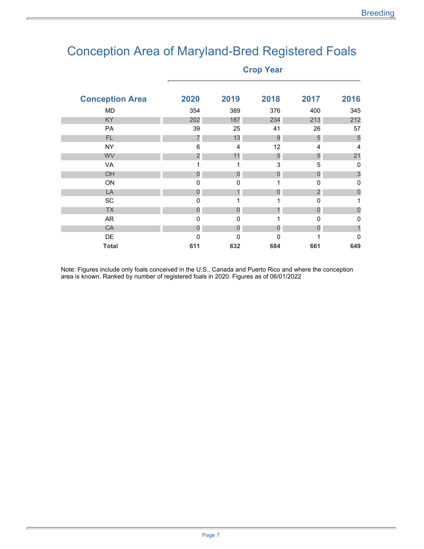# Conception Area of Maryland-Bred Registered Foals

**Crop Year** 

| <b>Conception Area</b> | 2020           | 2019 | 2018 | 2017           | 2016           |
|------------------------|----------------|------|------|----------------|----------------|
| MD                     | 354            | 389  | 376  | 400            | 345            |
| KY                     | 202            | 187  | 234  | 213            | 212            |
| PA                     | 39             | 25   | 41   | 26             | 57             |
| FL.                    | 7              | 13   | 9    | 5              | 5              |
| <b>NY</b>              | 6              | 4    | 12   | 4              | $\overline{4}$ |
| <b>WV</b>              | $\overline{c}$ | 11   | 5    | 5              | 21             |
| VA                     | 1              | 1    | 3    | 5              | $\mathbf 0$    |
| OH                     | 0              | 0    | 0    | $\overline{0}$ | 3              |
| ON                     | $\mathbf 0$    | 0    | 1    | $\mathbf 0$    | 0              |
| LA                     | 0              | 1    | 0    | $\overline{2}$ | $\mathbf 0$    |
| SC                     | 0              | 1    | 1    | $\mathbf 0$    |                |
| <b>TX</b>              | 0              | 0    |      | 0              | 0              |
| AR                     | $\mathbf 0$    | 0    | 1    | $\mathbf 0$    | 0              |
| <b>CA</b>              | 0              | 0    | 0    | 0              |                |
| DE                     | 0              | 0    | 0    |                | $\mathbf 0$    |
| <b>Total</b>           | 611            | 632  | 684  | 661            | 649            |

Note: Figures include only foals conceived in the U.S., Canada and Puerto Rico and where the conception area is known. Ranked by number of registered foals in 2020. Figures as of 06/01/2022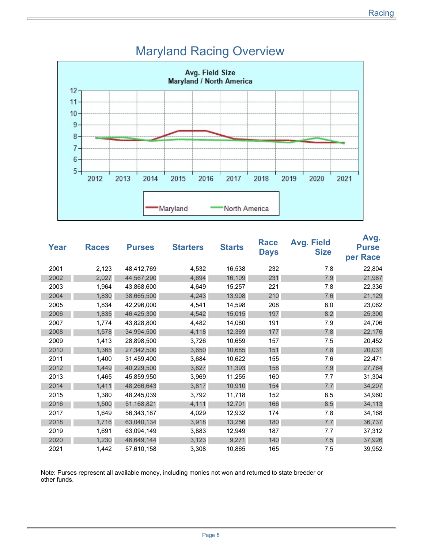

### Maryland Racing Overview

| Year | <b>Races</b> | <b>Purses</b> | <b>Starters</b> | <b>Starts</b> | Race<br><b>Days</b> | <b>Avg. Field</b><br><b>Size</b> | Avg.<br><b>Purse</b><br>per Race |
|------|--------------|---------------|-----------------|---------------|---------------------|----------------------------------|----------------------------------|
| 2001 | 2,123        | 48,412,769    | 4,532           | 16,538        | 232                 | 7.8                              | 22,804                           |
| 2002 | 2,027        | 44,567,290    | 4,694           | 16,109        | 231                 | 7.9                              | 21,987                           |
| 2003 | 1,964        | 43,868,600    | 4,649           | 15,257        | 221                 | 7.8                              | 22,336                           |
| 2004 | 1,830        | 38,665,500    | 4,243           | 13,908        | 210                 | 7.6                              | 21,129                           |
| 2005 | 1,834        | 42,296,000    | 4,541           | 14,598        | 208                 | 8.0                              | 23,062                           |
| 2006 | 1,835        | 46,425,300    | 4,542           | 15,015        | 197                 | 8.2                              | 25,300                           |
| 2007 | 1,774        | 43,828,800    | 4,482           | 14,080        | 191                 | 7.9                              | 24,706                           |
| 2008 | 1,578        | 34,994,500    | 4,118           | 12,369        | 177                 | 7.8                              | 22,176                           |
| 2009 | 1,413        | 28,898,500    | 3,726           | 10,659        | 157                 | 7.5                              | 20,452                           |
| 2010 | 1,365        | 27,342,500    | 3,650           | 10,685        | 151                 | 7.8                              | 20,031                           |
| 2011 | 1,400        | 31,459,400    | 3,684           | 10,622        | 155                 | 7.6                              | 22,471                           |
| 2012 | 1,449        | 40,229,500    | 3,827           | 11,393        | 158                 | 7.9                              | 27,764                           |
| 2013 | 1,465        | 45,859,950    | 3,969           | 11,255        | 160                 | 7.7                              | 31,304                           |
| 2014 | 1,411        | 48,266,643    | 3,817           | 10,910        | 154                 | 7.7                              | 34,207                           |
| 2015 | 1,380        | 48,245,039    | 3,792           | 11,718        | 152                 | 8.5                              | 34,960                           |
| 2016 | 1,500        | 51,168,821    | 4,111           | 12,701        | 166                 | 8.5                              | 34,113                           |
| 2017 | 1,649        | 56,343,187    | 4,029           | 12,932        | 174                 | 7.8                              | 34,168                           |
| 2018 | 1,716        | 63,040,134    | 3,918           | 13,256        | 180                 | 7.7                              | 36,737                           |
| 2019 | 1,691        | 63,094,149    | 3,883           | 12,949        | 187                 | 7.7                              | 37,312                           |
| 2020 | 1,230        | 46,649,144    | 3,123           | 9,271         | 140                 | 7.5                              | 37,926                           |
| 2021 | 1,442        | 57,610,158    | 3,308           | 10,865        | 165                 | 7.5                              | 39,952                           |

Note: Purses represent all available money, including monies not won and returned to state breeder or other funds.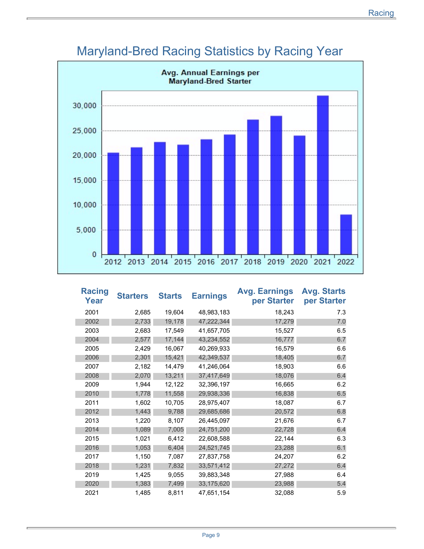

### Maryland-Bred Racing Statistics by Racing Year

| <b>Racing</b><br><b>Year</b> | <b>Starters</b> | <b>Starts</b> | <b>Earnings</b> | <b>Avg. Earnings</b><br>per Starter | Avg. Starts<br>per Starter |
|------------------------------|-----------------|---------------|-----------------|-------------------------------------|----------------------------|
| 2001                         | 2,685           | 19,604        | 48,983,183      | 18,243                              | 7.3                        |
| 2002                         | 2,733           | 19,178        | 47,222,344      | 17,279                              | 7.0                        |
| 2003                         | 2,683           | 17,549        | 41,657,705      | 15,527                              | 6.5                        |
| 2004                         | 2,577           | 17,144        | 43,234,552      | 16,777                              | 6.7                        |
| 2005                         | 2,429           | 16,067        | 40,269,933      | 16,579                              | 6.6                        |
| 2006                         | 2,301           | 15,421        | 42,349,537      | 18,405                              | 6.7                        |
| 2007                         | 2,182           | 14,479        | 41,246,064      | 18,903                              | 6.6                        |
| 2008                         | 2,070           | 13,211        | 37,417,649      | 18,076                              | 6.4                        |
| 2009                         | 1,944           | 12,122        | 32,396,197      | 16,665                              | 6.2                        |
| 2010                         | 1,778           | 11,558        | 29,938,336      | 16,838                              | 6.5                        |
| 2011                         | 1,602           | 10,705        | 28,975,407      | 18,087                              | 6.7                        |
| 2012                         | 1,443           | 9,788         | 29,685,686      | 20,572                              | 6.8                        |
| 2013                         | 1,220           | 8,107         | 26,445,097      | 21,676                              | 6.7                        |
| 2014                         | 1,089           | 7,005         | 24,751,200      | 22,728                              | 6.4                        |
| 2015                         | 1,021           | 6,412         | 22,608,588      | 22,144                              | 6.3                        |
| 2016                         | 1,053           | 6,404         | 24,521,745      | 23,288                              | 6.1                        |
| 2017                         | 1,150           | 7,087         | 27,837,758      | 24,207                              | 6.2                        |
| 2018                         | 1,231           | 7,832         | 33,571,412      | 27,272                              | 6.4                        |
| 2019                         | 1,425           | 9,055         | 39,883,348      | 27,988                              | 6.4                        |
| 2020                         | 1,383           | 7,499         | 33,175,620      | 23,988                              | 5.4                        |
| 2021                         | 1,485           | 8,811         | 47,651,154      | 32,088                              | 5.9                        |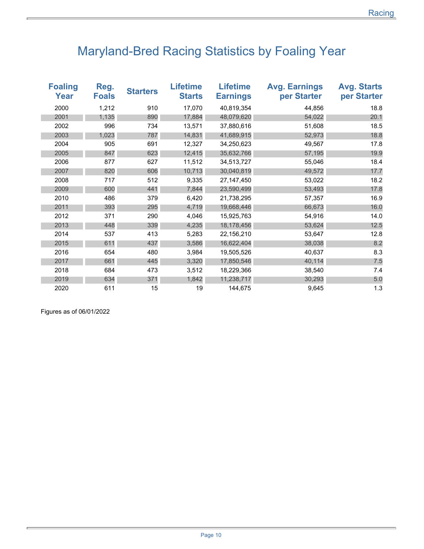# Maryland-Bred Racing Statistics by Foaling Year

| <b>Foaling</b><br>Year | Reg.<br><b>Foals</b> | <b>Starters</b> | <b>Lifetime</b><br><b>Starts</b> | <b>Lifetime</b><br><b>Earnings</b> | <b>Avg. Earnings</b><br>per Starter | <b>Avg. Starts</b><br>per Starter |
|------------------------|----------------------|-----------------|----------------------------------|------------------------------------|-------------------------------------|-----------------------------------|
| 2000                   | 1,212                | 910             | 17,070                           | 40,819,354                         | 44,856                              | 18.8                              |
| 2001                   | 1,135                | 890             | 17,884                           | 48,079,620                         | 54,022                              | 20.1                              |
| 2002                   | 996                  | 734             | 13,571                           | 37,880,616                         | 51,608                              | 18.5                              |
| 2003                   | 1,023                | 787             | 14,831                           | 41,689,915                         | 52,973                              | 18.8                              |
| 2004                   | 905                  | 691             | 12,327                           | 34,250,623                         | 49,567                              | 17.8                              |
| 2005                   | 847                  | 623             | 12,415                           | 35,632,766                         | 57,195                              | 19.9                              |
| 2006                   | 877                  | 627             | 11,512                           | 34,513,727                         | 55,046                              | 18.4                              |
| 2007                   | 820                  | 606             | 10,713                           | 30,040,819                         | 49,572                              | 17.7                              |
| 2008                   | 717                  | 512             | 9,335                            | 27, 147, 450                       | 53,022                              | 18.2                              |
| 2009                   | 600                  | 441             | 7,844                            | 23,590,499                         | 53,493                              | 17.8                              |
| 2010                   | 486                  | 379             | 6,420                            | 21,738,295                         | 57,357                              | 16.9                              |
| 2011                   | 393                  | 295             | 4,719                            | 19,668,446                         | 66,673                              | 16.0                              |
| 2012                   | 371                  | 290             | 4,046                            | 15,925,763                         | 54,916                              | 14.0                              |
| 2013                   | 448                  | 339             | 4,235                            | 18,178,456                         | 53,624                              | 12.5                              |
| 2014                   | 537                  | 413             | 5,283                            | 22,156,210                         | 53,647                              | 12.8                              |
| 2015                   | 611                  | 437             | 3,586                            | 16,622,404                         | 38,038                              | 8.2                               |
| 2016                   | 654                  | 480             | 3,984                            | 19,505,526                         | 40,637                              | 8.3                               |
| 2017                   | 661                  | 445             | 3,320                            | 17,850,546                         | 40,114                              | 7.5                               |
| 2018                   | 684                  | 473             | 3,512                            | 18,229,366                         | 38,540                              | 7.4                               |
| 2019                   | 634                  | 371             | 1,842                            | 11,238,717                         | 30,293                              | 5.0                               |
| 2020                   | 611                  | 15              | 19                               | 144,675                            | 9,645                               | 1.3                               |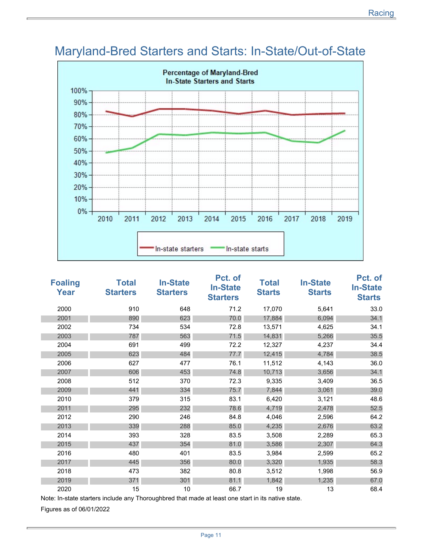

# Maryland-Bred Starters and Starts: In-State/Out-of-State

| <b>Foaling</b><br>Year | <b>Total</b><br><b>Starters</b> | <b>In-State</b><br><b>Starters</b> | Pct. of<br><b>In-State</b><br><b>Starters</b> | <b>Total</b><br><b>Starts</b> | <b>In-State</b><br><b>Starts</b> | Pct. of<br><b>In-State</b><br><b>Starts</b> |
|------------------------|---------------------------------|------------------------------------|-----------------------------------------------|-------------------------------|----------------------------------|---------------------------------------------|
| 2000                   | 910                             | 648                                | 71.2                                          | 17,070                        | 5,641                            | 33.0                                        |
| 2001                   | 890                             | 623                                | 70.0                                          | 17,884                        | 6,094                            | 34.1                                        |
| 2002                   | 734                             | 534                                | 72.8                                          | 13,571                        | 4,625                            | 34.1                                        |
| 2003                   | 787                             | 563                                | 71.5                                          | 14,831                        | 5,266                            | 35.5                                        |
| 2004                   | 691                             | 499                                | 72.2                                          | 12,327                        | 4,237                            | 34.4                                        |
| 2005                   | 623                             | 484                                | 77.7                                          | 12,415                        | 4,784                            | 38.5                                        |
| 2006                   | 627                             | 477                                | 76.1                                          | 11,512                        | 4,143                            | 36.0                                        |
| 2007                   | 606                             | 453                                | 74.8                                          | 10,713                        | 3,656                            | 34.1                                        |
| 2008                   | 512                             | 370                                | 72.3                                          | 9,335                         | 3,409                            | 36.5                                        |
| 2009                   | 441                             | 334                                | 75.7                                          | 7,844                         | 3,061                            | 39.0                                        |
| 2010                   | 379                             | 315                                | 83.1                                          | 6,420                         | 3,121                            | 48.6                                        |
| 2011                   | 295                             | 232                                | 78.6                                          | 4,719                         | 2,478                            | 52.5                                        |
| 2012                   | 290                             | 246                                | 84.8                                          | 4,046                         | 2,596                            | 64.2                                        |
| 2013                   | 339                             | 288                                | 85.0                                          | 4,235                         | 2,676                            | 63.2                                        |
| 2014                   | 393                             | 328                                | 83.5                                          | 3,508                         | 2,289                            | 65.3                                        |
| 2015                   | 437                             | 354                                | 81.0                                          | 3,586                         | 2,307                            | 64.3                                        |
| 2016                   | 480                             | 401                                | 83.5                                          | 3,984                         | 2,599                            | 65.2                                        |
| 2017                   | 445                             | 356                                | 80.0                                          | 3,320                         | 1,935                            | 58.3                                        |
| 2018                   | 473                             | 382                                | 80.8                                          | 3,512                         | 1,998                            | 56.9                                        |
| 2019                   | 371                             | 301                                | 81.1                                          | 1,842                         | 1,235                            | 67.0                                        |
| 2020                   | 15                              | 10                                 | 66.7                                          | 19                            | 13                               | 68.4                                        |

Note: In-state starters include any Thoroughbred that made at least one start in its native state.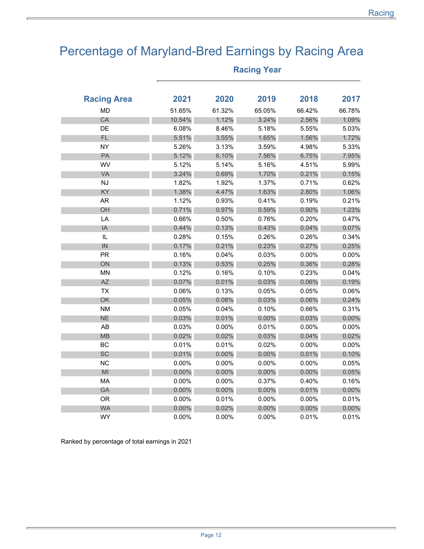# Percentage of Maryland-Bred Earnings by Racing Area

| <b>Racing Area</b> | 2021     | 2020   | 2019     | 2018     | 2017     |
|--------------------|----------|--------|----------|----------|----------|
| <b>MD</b>          | 51.65%   | 61.32% | 65.05%   | 66.42%   | 66.78%   |
| CA                 | 10.54%   | 1.12%  | 3.24%    | 2.56%    | 1.09%    |
| DE                 | 6.08%    | 8.46%  | 5.18%    | 5.55%    | 5.03%    |
| FL                 | 5.51%    | 3.55%  | 1.65%    | 1.56%    | 1.72%    |
| <b>NY</b>          | 5.26%    | 3.13%  | 3.59%    | 4.98%    | 5.33%    |
| PA                 | 5.12%    | 6.10%  | 7.56%    | 6.75%    | 7.95%    |
| WV                 | 5.12%    | 5.14%  | 5.16%    | 4.51%    | 5.99%    |
| VA                 | 3.24%    | 0.69%  | 1.70%    | 0.21%    | 0.15%    |
| NJ                 | 1.82%    | 1.92%  | 1.37%    | 0.71%    | 0.62%    |
| KY                 | 1.38%    | 4.47%  | 1.63%    | 2.80%    | 1.06%    |
| AR                 | 1.12%    | 0.93%  | 0.41%    | 0.19%    | 0.21%    |
| OH                 | 0.71%    | 0.97%  | 0.59%    | 0.90%    | 1.23%    |
| LA                 | 0.66%    | 0.50%  | 0.76%    | 0.20%    | 0.47%    |
| IA                 | 0.44%    | 0.13%  | 0.43%    | 0.04%    | 0.07%    |
| IL                 | 0.28%    | 0.15%  | 0.26%    | 0.26%    | 0.34%    |
| IN                 | 0.17%    | 0.21%  | 0.23%    | 0.27%    | 0.25%    |
| <b>PR</b>          | 0.16%    | 0.04%  | 0.03%    | 0.00%    | $0.00\%$ |
| ON                 | 0.13%    | 0.53%  | 0.25%    | 0.36%    | 0.28%    |
| <b>MN</b>          | 0.12%    | 0.16%  | 0.10%    | 0.23%    | 0.04%    |
| AZ                 | 0.07%    | 0.01%  | 0.03%    | 0.06%    | 0.19%    |
| <b>TX</b>          | 0.06%    | 0.13%  | 0.05%    | 0.05%    | 0.06%    |
| OK                 | 0.05%    | 0.08%  | 0.03%    | 0.06%    | 0.24%    |
| <b>NM</b>          | 0.05%    | 0.04%  | 0.10%    | 0.66%    | 0.31%    |
| <b>NE</b>          | 0.03%    | 0.01%  | 0.00%    | 0.03%    | $0.00\%$ |
| AB                 | 0.03%    | 0.00%  | 0.01%    | 0.00%    | 0.00%    |
| MB                 | 0.02%    | 0.02%  | 0.03%    | 0.04%    | 0.02%    |
| BC                 | 0.01%    | 0.01%  | 0.02%    | 0.00%    | 0.00%    |
| SC                 | 0.01%    | 0.00%  | $0.00\%$ | 0.01%    | 0.10%    |
| <b>NC</b>          | 0.00%    | 0.00%  | 0.00%    | 0.00%    | 0.05%    |
| M <sub>l</sub>     | 0.00%    | 0.00%  | 0.00%    | $0.00\%$ | 0.05%    |
| MA                 | 0.00%    | 0.00%  | 0.37%    | 0.40%    | 0.16%    |
| GA                 | 0.00%    | 0.00%  | 0.00%    | 0.01%    | 0.00%    |
| <b>OR</b>          | 0.00%    | 0.01%  | 0.00%    | 0.00%    | 0.01%    |
| <b>WA</b>          | $0.00\%$ | 0.02%  | 0.00%    | $0.00\%$ | $0.00\%$ |
| WY                 | 0.00%    | 0.00%  | $0.00\%$ | 0.01%    | 0.01%    |

### **Racing Year**

Ranked by percentage of total earnings in 2021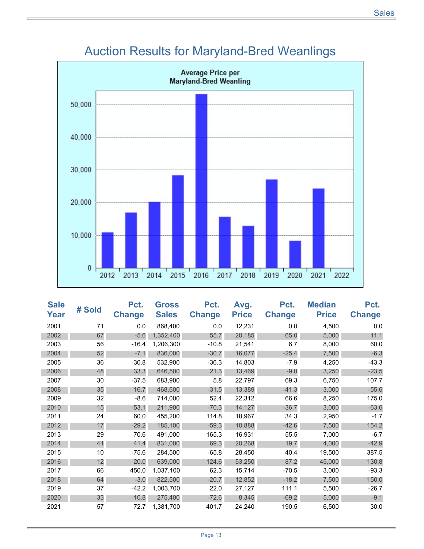

# Auction Results for Maryland-Bred Weanlings

| <b>Sale</b><br>Year | # Sold | Pct.<br><b>Change</b> | <b>Gross</b><br><b>Sales</b> | Pct.<br><b>Change</b> | Avg.<br><b>Price</b> | Pct.<br><b>Change</b> | <b>Median</b><br><b>Price</b> | Pct.<br><b>Change</b> |
|---------------------|--------|-----------------------|------------------------------|-----------------------|----------------------|-----------------------|-------------------------------|-----------------------|
| 2001                | 71     | 0.0                   | 868,400                      | 0.0                   | 12,231               | 0.0                   | 4,500                         | 0.0                   |
| 2002                | 67     | $-5.6$                | 1,352,400                    | 55.7                  | 20,185               | 65.0                  | 5,000                         | 11.1                  |
| 2003                | 56     | $-16.4$               | 1,206,300                    | $-10.8$               | 21,541               | 6.7                   | 8,000                         | 60.0                  |
| 2004                | 52     | $-7.1$                | 836,000                      | $-30.7$               | 16,077               | $-25.4$               | 7,500                         | $-6.3$                |
| 2005                | 36     | $-30.8$               | 532,900                      | $-36.3$               | 14,803               | $-7.9$                | 4,250                         | $-43.3$               |
| 2006                | 48     | 33.3                  | 646,500                      | 21.3                  | 13,469               | $-9.0$                | 3,250                         | $-23.5$               |
| 2007                | 30     | $-37.5$               | 683.900                      | 5.8                   | 22,797               | 69.3                  | 6,750                         | 107.7                 |
| 2008                | 35     | 16.7                  | 468,600                      | $-31.5$               | 13,389               | $-41.3$               | 3,000                         | $-55.6$               |
| 2009                | 32     | $-8.6$                | 714,000                      | 52.4                  | 22,312               | 66.6                  | 8,250                         | 175.0                 |
| 2010                | 15     | $-53.1$               | 211,900                      | $-70.3$               | 14,127               | $-36.7$               | 3,000                         | $-63.6$               |
| 2011                | 24     | 60.0                  | 455,200                      | 114.8                 | 18,967               | 34.3                  | 2,950                         | $-1.7$                |
| 2012                | 17     | $-29.2$               | 185,100                      | $-59.3$               | 10,888               | $-42.6$               | 7,500                         | 154.2                 |
| 2013                | 29     | 70.6                  | 491,000                      | 165.3                 | 16,931               | 55.5                  | 7,000                         | $-6.7$                |
| 2014                | 41     | 41.4                  | 831,000                      | 69.3                  | 20,268               | 19.7                  | 4,000                         | $-42.9$               |
| 2015                | 10     | $-75.6$               | 284.500                      | $-65.8$               | 28,450               | 40.4                  | 19,500                        | 387.5                 |
| 2016                | 12     | 20.0                  | 639,000                      | 124.6                 | 53,250               | 87.2                  | 45,000                        | 130.8                 |
| 2017                | 66     | 450.0                 | 1,037,100                    | 62.3                  | 15,714               | $-70.5$               | 3,000                         | $-93.3$               |
| 2018                | 64     | $-3.0$                | 822,500                      | $-20.7$               | 12,852               | $-18.2$               | 7,500                         | 150.0                 |
| 2019                | 37     | $-42.2$               | 1,003,700                    | 22.0                  | 27,127               | 111.1                 | 5,500                         | $-26.7$               |
| 2020                | 33     | $-10.8$               | 275,400                      | $-72.6$               | 8,345                | $-69.2$               | 5,000                         | $-9.1$                |
| 2021                | 57     | 72.7                  | 1,381,700                    | 401.7                 | 24,240               | 190.5                 | 6,500                         | 30.0                  |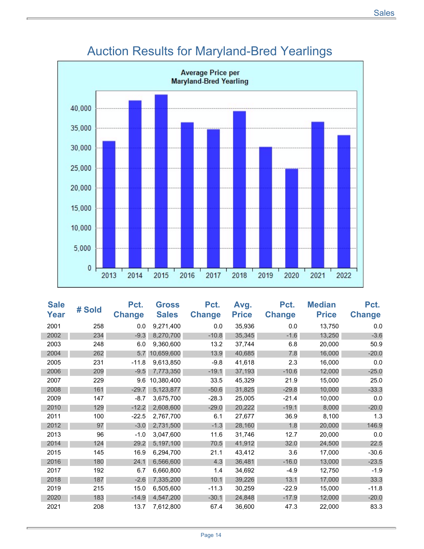

# Auction Results for Maryland-Bred Yearlings

| <b>Sale</b><br>Year | # Sold | Pct.<br><b>Change</b> | <b>Gross</b><br><b>Sales</b> | Pct.<br><b>Change</b> | Avg.<br><b>Price</b> | Pct.<br><b>Change</b> | <b>Median</b><br><b>Price</b> | Pct.<br><b>Change</b> |
|---------------------|--------|-----------------------|------------------------------|-----------------------|----------------------|-----------------------|-------------------------------|-----------------------|
| 2001                | 258    | 0.0                   | 9,271,400                    | 0.0                   | 35,936               | 0.0                   | 13,750                        | 0.0                   |
| 2002                | 234    | $-9.3$                | 8,270,700                    | $-10.8$               | 35,345               | $-1.6$                | 13,250                        | $-3.6$                |
| 2003                | 248    | 6.0                   | 9,360,600                    | 13.2                  | 37,744               | 6.8                   | 20,000                        | 50.9                  |
| 2004                | 262    | 5.7                   | 10,659,600                   | 13.9                  | 40,685               | 7.8                   | 16,000                        | $-20.0$               |
| 2005                | 231    | $-11.8$               | 9,613,850                    | $-9.8$                | 41,618               | 2.3                   | 16,000                        | 0.0                   |
| 2006                | 209    | $-9.5$                | 7,773,350                    | $-19.1$               | 37,193               | $-10.6$               | 12,000                        | $-25.0$               |
| 2007                | 229    | 9.6                   | 10,380,400                   | 33.5                  | 45,329               | 21.9                  | 15,000                        | 25.0                  |
| 2008                | 161    | $-29.7$               | 5,123,877                    | $-50.6$               | 31,825               | $-29.8$               | 10,000                        | $-33.3$               |
| 2009                | 147    | $-8.7$                | 3,675,700                    | $-28.3$               | 25,005               | $-21.4$               | 10,000                        | 0.0                   |
| 2010                | 129    | $-12.2$               | 2,608,600                    | $-29.0$               | 20,222               | $-19.1$               | 8,000                         | $-20.0$               |
| 2011                | 100    | $-22.5$               | 2,767,700                    | 6.1                   | 27,677               | 36.9                  | 8,100                         | 1.3                   |
| 2012                | 97     | $-3.0$                | 2,731,500                    | $-1.3$                | 28,160               | 1.8                   | 20,000                        | 146.9                 |
| 2013                | 96     | $-1.0$                | 3,047,600                    | 11.6                  | 31,746               | 12.7                  | 20,000                        | 0.0                   |
| 2014                | 124    | 29.2                  | 5,197,100                    | 70.5                  | 41,912               | 32.0                  | 24,500                        | 22.5                  |
| 2015                | 145    | 16.9                  | 6,294,700                    | 21.1                  | 43,412               | 3.6                   | 17,000                        | $-30.6$               |
| 2016                | 180    | 24.1                  | 6,566,600                    | 4.3                   | 36,481               | $-16.0$               | 13,000                        | $-23.5$               |
| 2017                | 192    | 6.7                   | 6.660.800                    | 1.4                   | 34,692               | $-4.9$                | 12,750                        | $-1.9$                |
| 2018                | 187    | $-2.6$                | 7,335,200                    | 10.1                  | 39,226               | 13.1                  | 17,000                        | 33.3                  |
| 2019                | 215    | 15.0                  | 6,505,600                    | $-11.3$               | 30,259               | $-22.9$               | 15,000                        | $-11.8$               |
| 2020                | 183    | $-14.9$               | 4,547,200                    | $-30.1$               | 24,848               | $-17.9$               | 12,000                        | $-20.0$               |
| 2021                | 208    | 13.7                  | 7,612,800                    | 67.4                  | 36,600               | 47.3                  | 22,000                        | 83.3                  |